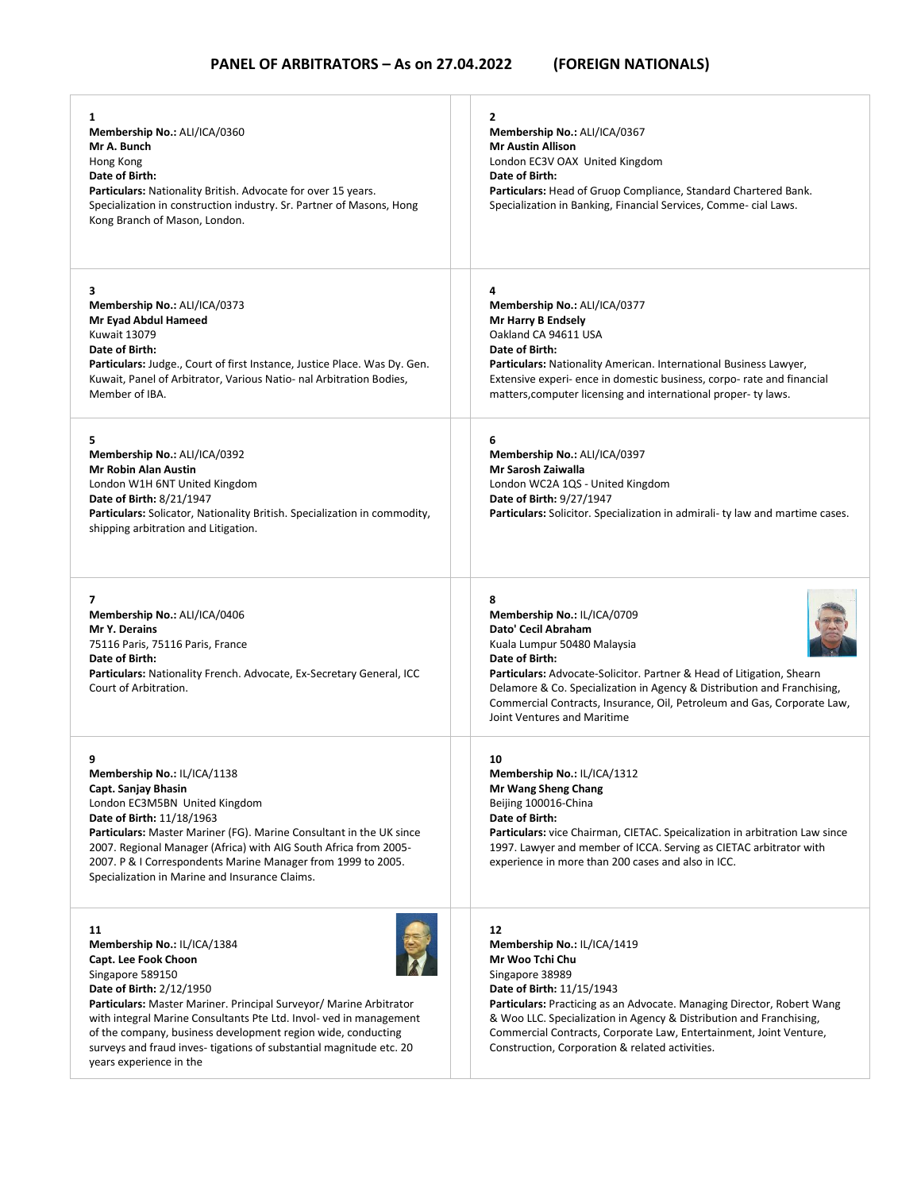$\overline{1}$ 

| 1<br>Membership No.: ALI/ICA/0360<br>Mr A. Bunch<br>Hong Kong<br>Date of Birth:<br>Particulars: Nationality British. Advocate for over 15 years.<br>Specialization in construction industry. Sr. Partner of Masons, Hong<br>Kong Branch of Mason, London.                                                                                                                                                              | 2<br>Membership No.: ALI/ICA/0367<br><b>Mr Austin Allison</b><br>London EC3V OAX United Kingdom<br>Date of Birth:<br>Particulars: Head of Gruop Compliance, Standard Chartered Bank.<br>Specialization in Banking, Financial Services, Comme- cial Laws.                                                                                                                              |
|------------------------------------------------------------------------------------------------------------------------------------------------------------------------------------------------------------------------------------------------------------------------------------------------------------------------------------------------------------------------------------------------------------------------|---------------------------------------------------------------------------------------------------------------------------------------------------------------------------------------------------------------------------------------------------------------------------------------------------------------------------------------------------------------------------------------|
| 3<br>Membership No.: ALI/ICA/0373<br>Mr Eyad Abdul Hameed<br><b>Kuwait 13079</b><br>Date of Birth:<br>Particulars: Judge., Court of first Instance, Justice Place. Was Dy. Gen.<br>Kuwait, Panel of Arbitrator, Various Natio- nal Arbitration Bodies,<br>Member of IBA.                                                                                                                                               | 4<br>Membership No.: ALI/ICA/0377<br>Mr Harry B Endsely<br>Oakland CA 94611 USA<br>Date of Birth:<br>Particulars: Nationality American. International Business Lawyer,<br>Extensive experi- ence in domestic business, corpo- rate and financial<br>matters, computer licensing and international proper-ty laws.                                                                     |
| 5<br>Membership No.: ALI/ICA/0392<br><b>Mr Robin Alan Austin</b><br>London W1H 6NT United Kingdom<br><b>Date of Birth: 8/21/1947</b><br>Particulars: Solicator, Nationality British. Specialization in commodity,<br>shipping arbitration and Litigation.                                                                                                                                                              | 6<br>Membership No.: ALI/ICA/0397<br>Mr Sarosh Zaiwalla<br>London WC2A 1QS - United Kingdom<br>Date of Birth: 9/27/1947<br>Particulars: Solicitor. Specialization in admirali- ty law and martime cases.                                                                                                                                                                              |
| 7<br>Membership No.: ALI/ICA/0406<br>Mr Y. Derains<br>75116 Paris, 75116 Paris, France<br>Date of Birth:<br>Particulars: Nationality French. Advocate, Ex-Secretary General, ICC<br>Court of Arbitration.                                                                                                                                                                                                              | 8<br>Membership No.: IL/ICA/0709<br>Dato' Cecil Abraham<br>Kuala Lumpur 50480 Malaysia<br>Date of Birth:<br><b>Particulars:</b> Advocate-Solicitor. Partner & Head of Litigation, Shearn<br>Delamore & Co. Specialization in Agency & Distribution and Franchising,<br>Commercial Contracts, Insurance, Oil, Petroleum and Gas, Corporate Law,<br>Joint Ventures and Maritime         |
| 9<br>Membership No.: IL/ICA/1138<br>Capt. Sanjay Bhasin<br>London EC3M5BN United Kingdom<br>Date of Birth: 11/18/1963<br><b>Particulars:</b> Master Mariner (FG). Marine Consultant in the UK since<br>2007. Regional Manager (Africa) with AIG South Africa from 2005-<br>2007. P & I Correspondents Marine Manager from 1999 to 2005.<br>Specialization in Marine and Insurance Claims.                              | 10<br>Membership No.: IL/ICA/1312<br>Mr Wang Sheng Chang<br>Beijing 100016-China<br>Date of Birth:<br>Particulars: vice Chairman, CIETAC. Speicalization in arbitration Law since<br>1997. Lawyer and member of ICCA. Serving as CIETAC arbitrator with<br>experience in more than 200 cases and also in ICC.                                                                         |
| 11<br>Membership No.: IL/ICA/1384<br>Capt. Lee Fook Choon<br>Singapore 589150<br>Date of Birth: 2/12/1950<br>Particulars: Master Mariner. Principal Surveyor/ Marine Arbitrator<br>with integral Marine Consultants Pte Ltd. Invol- ved in management<br>of the company, business development region wide, conducting<br>surveys and fraud inves-tigations of substantial magnitude etc. 20<br>years experience in the | 12<br>Membership No.: IL/ICA/1419<br>Mr Woo Tchi Chu<br>Singapore 38989<br>Date of Birth: 11/15/1943<br><b>Particulars:</b> Practicing as an Advocate. Managing Director, Robert Wang<br>& Woo LLC. Specialization in Agency & Distribution and Franchising,<br>Commercial Contracts, Corporate Law, Entertainment, Joint Venture,<br>Construction, Corporation & related activities. |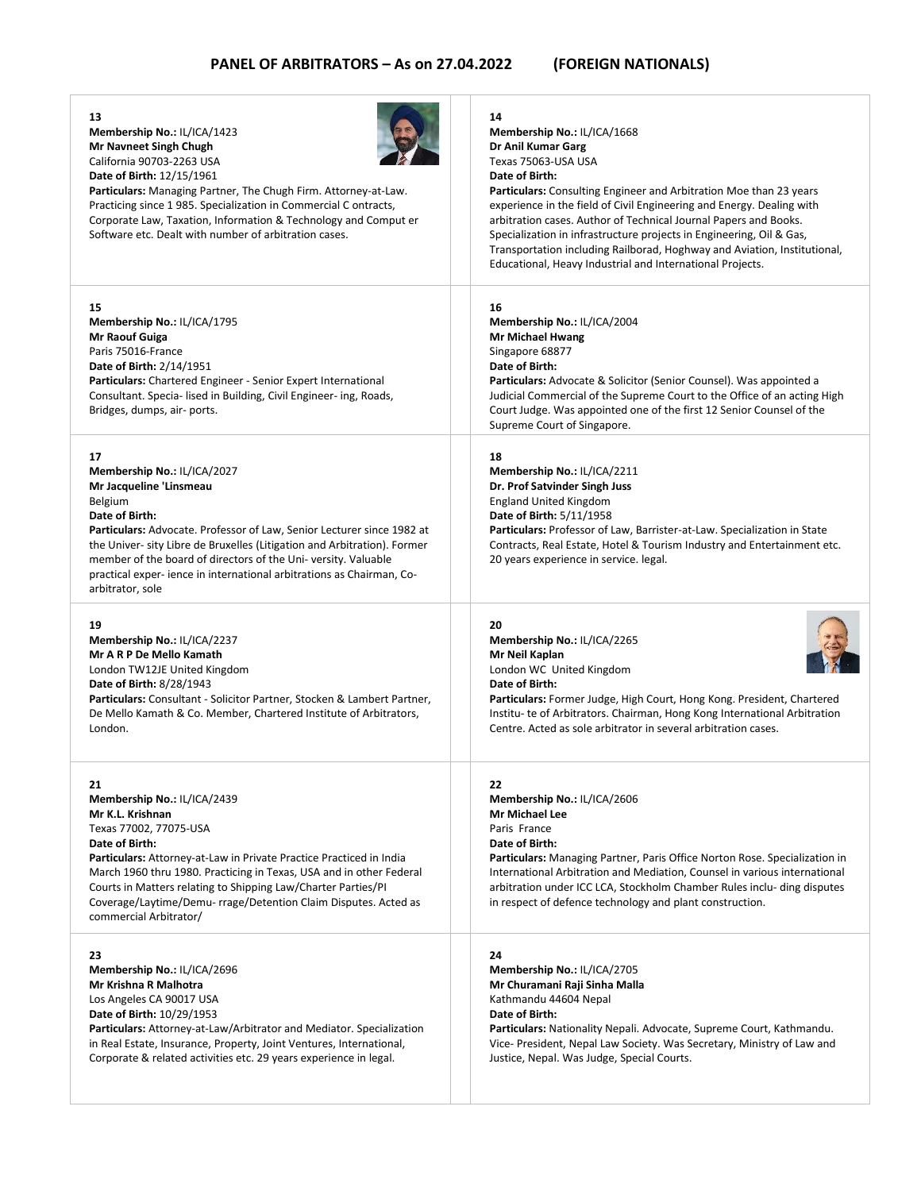| 13<br>Membership No.: IL/ICA/1423<br>Mr Navneet Singh Chugh<br>California 90703-2263 USA<br>Date of Birth: 12/15/1961<br>Particulars: Managing Partner, The Chugh Firm. Attorney-at-Law.<br>Practicing since 1 985. Specialization in Commercial C ontracts,<br>Corporate Law, Taxation, Information & Technology and Comput er<br>Software etc. Dealt with number of arbitration cases.                             | 14<br>Membership No.: IL/ICA/1668<br>Dr Anil Kumar Garg<br>Texas 75063-USA USA<br>Date of Birth:<br>Particulars: Consulting Engineer and Arbitration Moe than 23 years<br>experience in the field of Civil Engineering and Energy. Dealing with<br>arbitration cases. Author of Technical Journal Papers and Books.<br>Specialization in infrastructure projects in Engineering, Oil & Gas,<br>Transportation including Railborad, Hoghway and Aviation, Institutional,<br>Educational, Heavy Industrial and International Projects. |
|----------------------------------------------------------------------------------------------------------------------------------------------------------------------------------------------------------------------------------------------------------------------------------------------------------------------------------------------------------------------------------------------------------------------|--------------------------------------------------------------------------------------------------------------------------------------------------------------------------------------------------------------------------------------------------------------------------------------------------------------------------------------------------------------------------------------------------------------------------------------------------------------------------------------------------------------------------------------|
| 15<br>Membership No.: IL/ICA/1795<br><b>Mr Raouf Guiga</b><br>Paris 75016-France<br>Date of Birth: 2/14/1951<br>Particulars: Chartered Engineer - Senior Expert International<br>Consultant. Specia- lised in Building, Civil Engineer- ing, Roads,<br>Bridges, dumps, air- ports.                                                                                                                                   | 16<br>Membership No.: IL/ICA/2004<br><b>Mr Michael Hwang</b><br>Singapore 68877<br>Date of Birth:<br><b>Particulars:</b> Advocate & Solicitor (Senior Counsel). Was appointed a<br>Judicial Commercial of the Supreme Court to the Office of an acting High<br>Court Judge. Was appointed one of the first 12 Senior Counsel of the<br>Supreme Court of Singapore.                                                                                                                                                                   |
| 17<br>Membership No.: IL/ICA/2027<br>Mr Jacqueline 'Linsmeau<br>Belgium<br>Date of Birth:<br>Particulars: Advocate. Professor of Law, Senior Lecturer since 1982 at<br>the Univer- sity Libre de Bruxelles (Litigation and Arbitration). Former<br>member of the board of directors of the Uni-versity. Valuable<br>practical exper- ience in international arbitrations as Chairman, Co-<br>arbitrator, sole        | 18<br>Membership No.: IL/ICA/2211<br>Dr. Prof Satvinder Singh Juss<br><b>England United Kingdom</b><br>Date of Birth: 5/11/1958<br>Particulars: Professor of Law, Barrister-at-Law. Specialization in State<br>Contracts, Real Estate, Hotel & Tourism Industry and Entertainment etc.<br>20 years experience in service. legal.                                                                                                                                                                                                     |
| 19<br>Membership No.: IL/ICA/2237<br>Mr A R P De Mello Kamath<br>London TW12JE United Kingdom<br><b>Date of Birth: 8/28/1943</b><br>Particulars: Consultant - Solicitor Partner, Stocken & Lambert Partner,<br>De Mello Kamath & Co. Member, Chartered Institute of Arbitrators,<br>London.                                                                                                                          | 20<br>Membership No.: IL/ICA/2265<br>Mr Neil Kaplan<br>London WC United Kingdom<br>Date of Birth:<br>Particulars: Former Judge, High Court, Hong Kong. President, Chartered<br>Institu- te of Arbitrators. Chairman, Hong Kong International Arbitration<br>Centre. Acted as sole arbitrator in several arbitration cases.                                                                                                                                                                                                           |
| 21<br>Membership No.: IL/ICA/2439<br>Mr K.L. Krishnan<br>Texas 77002, 77075-USA<br>Date of Birth:<br><b>Particulars:</b> Attorney-at-Law in Private Practice Practiced in India<br>March 1960 thru 1980. Practicing in Texas, USA and in other Federal<br>Courts in Matters relating to Shipping Law/Charter Parties/PI<br>Coverage/Laytime/Demu- rrage/Detention Claim Disputes. Acted as<br>commercial Arbitrator/ | 22<br>Membership No.: IL/ICA/2606<br>Mr Michael Lee<br>Paris France<br>Date of Birth:<br>Particulars: Managing Partner, Paris Office Norton Rose. Specialization in<br>International Arbitration and Mediation, Counsel in various international<br>arbitration under ICC LCA, Stockholm Chamber Rules inclu- ding disputes<br>in respect of defence technology and plant construction.                                                                                                                                              |
| 23<br>Membership No.: IL/ICA/2696<br>Mr Krishna R Malhotra<br>Los Angeles CA 90017 USA<br>Date of Birth: 10/29/1953<br>Particulars: Attorney-at-Law/Arbitrator and Mediator. Specialization<br>in Real Estate, Insurance, Property, Joint Ventures, International,<br>Corporate & related activities etc. 29 years experience in legal.                                                                              | 24<br>Membership No.: IL/ICA/2705<br>Mr Churamani Raji Sinha Malla<br>Kathmandu 44604 Nepal<br>Date of Birth:<br>Particulars: Nationality Nepali. Advocate, Supreme Court, Kathmandu.<br>Vice- President, Nepal Law Society. Was Secretary, Ministry of Law and<br>Justice, Nepal. Was Judge, Special Courts.                                                                                                                                                                                                                        |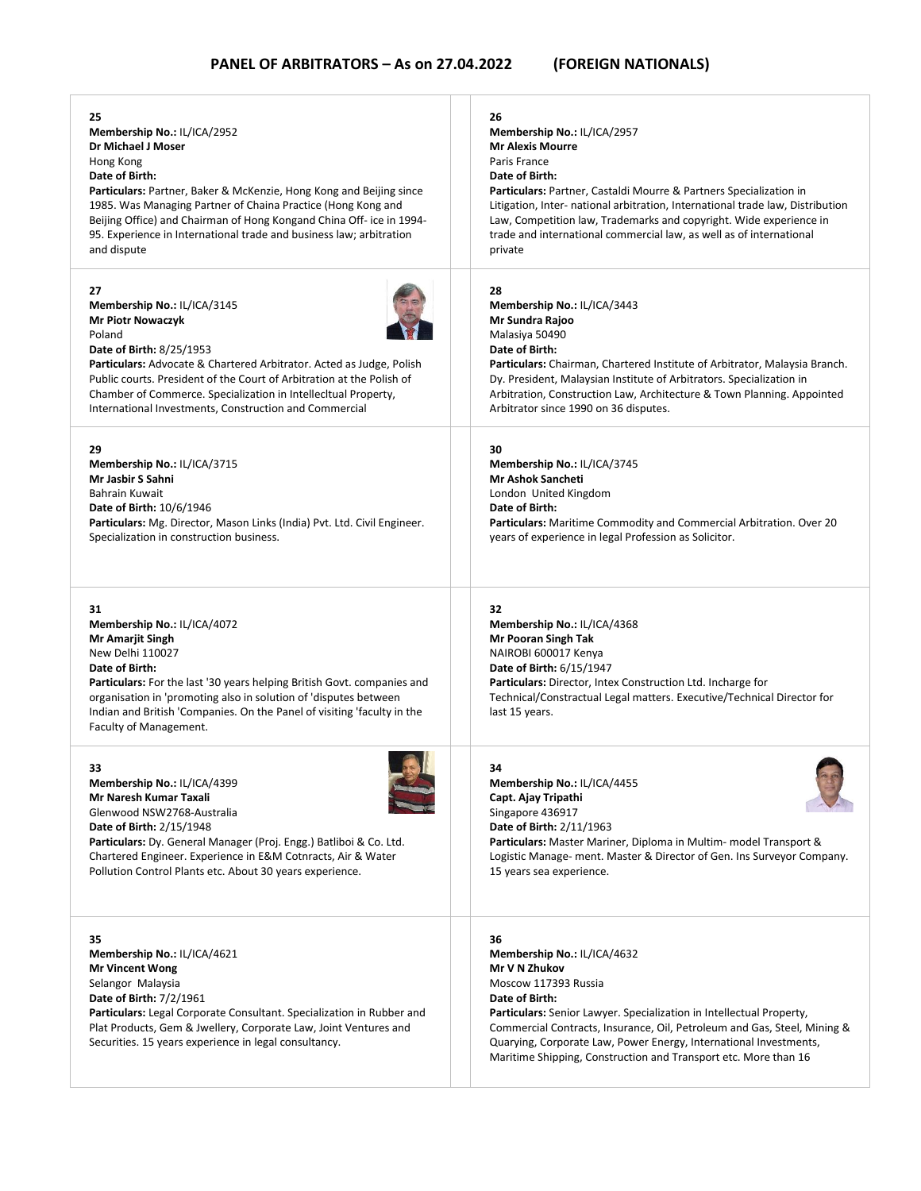| 25                                                                                                                                                                                                                                                                                                                                                     | 26                                                                                                                                                                                                                                                                                                                                                                                       |
|--------------------------------------------------------------------------------------------------------------------------------------------------------------------------------------------------------------------------------------------------------------------------------------------------------------------------------------------------------|------------------------------------------------------------------------------------------------------------------------------------------------------------------------------------------------------------------------------------------------------------------------------------------------------------------------------------------------------------------------------------------|
| Membership No.: IL/ICA/2952                                                                                                                                                                                                                                                                                                                            | Membership No.: IL/ICA/2957                                                                                                                                                                                                                                                                                                                                                              |
| Dr Michael J Moser                                                                                                                                                                                                                                                                                                                                     | <b>Mr Alexis Mourre</b>                                                                                                                                                                                                                                                                                                                                                                  |
| Hong Kong                                                                                                                                                                                                                                                                                                                                              | Paris France                                                                                                                                                                                                                                                                                                                                                                             |
| Date of Birth:                                                                                                                                                                                                                                                                                                                                         | Date of Birth:                                                                                                                                                                                                                                                                                                                                                                           |
| Particulars: Partner, Baker & McKenzie, Hong Kong and Beijing since                                                                                                                                                                                                                                                                                    | <b>Particulars:</b> Partner, Castaldi Mourre & Partners Specialization in                                                                                                                                                                                                                                                                                                                |
| 1985. Was Managing Partner of Chaina Practice (Hong Kong and                                                                                                                                                                                                                                                                                           | Litigation, Inter- national arbitration, International trade law, Distribution                                                                                                                                                                                                                                                                                                           |
| Beijing Office) and Chairman of Hong Kongand China Off- ice in 1994-                                                                                                                                                                                                                                                                                   | Law, Competition law, Trademarks and copyright. Wide experience in                                                                                                                                                                                                                                                                                                                       |
| 95. Experience in International trade and business law; arbitration                                                                                                                                                                                                                                                                                    | trade and international commercial law, as well as of international                                                                                                                                                                                                                                                                                                                      |
| and dispute                                                                                                                                                                                                                                                                                                                                            | private                                                                                                                                                                                                                                                                                                                                                                                  |
| 27                                                                                                                                                                                                                                                                                                                                                     | 28                                                                                                                                                                                                                                                                                                                                                                                       |
| Membership No.: IL/ICA/3145                                                                                                                                                                                                                                                                                                                            | Membership No.: IL/ICA/3443                                                                                                                                                                                                                                                                                                                                                              |
| <b>Mr Piotr Nowaczyk</b>                                                                                                                                                                                                                                                                                                                               | Mr Sundra Rajoo                                                                                                                                                                                                                                                                                                                                                                          |
| Poland                                                                                                                                                                                                                                                                                                                                                 | Malasiya 50490                                                                                                                                                                                                                                                                                                                                                                           |
| <b>Date of Birth: 8/25/1953</b>                                                                                                                                                                                                                                                                                                                        | Date of Birth:                                                                                                                                                                                                                                                                                                                                                                           |
| <b>Particulars:</b> Advocate & Chartered Arbitrator. Acted as Judge, Polish                                                                                                                                                                                                                                                                            | Particulars: Chairman, Chartered Institute of Arbitrator, Malaysia Branch.                                                                                                                                                                                                                                                                                                               |
| Public courts. President of the Court of Arbitration at the Polish of                                                                                                                                                                                                                                                                                  | Dy. President, Malaysian Institute of Arbitrators. Specialization in                                                                                                                                                                                                                                                                                                                     |
| Chamber of Commerce. Specialization in Intellecitual Property,                                                                                                                                                                                                                                                                                         | Arbitration, Construction Law, Architecture & Town Planning. Appointed                                                                                                                                                                                                                                                                                                                   |
| International Investments, Construction and Commercial                                                                                                                                                                                                                                                                                                 | Arbitrator since 1990 on 36 disputes.                                                                                                                                                                                                                                                                                                                                                    |
| 29                                                                                                                                                                                                                                                                                                                                                     | 30                                                                                                                                                                                                                                                                                                                                                                                       |
| Membership No.: IL/ICA/3715                                                                                                                                                                                                                                                                                                                            | Membership No.: IL/ICA/3745                                                                                                                                                                                                                                                                                                                                                              |
| Mr Jasbir S Sahni                                                                                                                                                                                                                                                                                                                                      | Mr Ashok Sancheti                                                                                                                                                                                                                                                                                                                                                                        |
| Bahrain Kuwait                                                                                                                                                                                                                                                                                                                                         | London United Kingdom                                                                                                                                                                                                                                                                                                                                                                    |
| <b>Date of Birth: 10/6/1946</b>                                                                                                                                                                                                                                                                                                                        | Date of Birth:                                                                                                                                                                                                                                                                                                                                                                           |
| Particulars: Mg. Director, Mason Links (India) Pvt. Ltd. Civil Engineer.                                                                                                                                                                                                                                                                               | Particulars: Maritime Commodity and Commercial Arbitration. Over 20                                                                                                                                                                                                                                                                                                                      |
| Specialization in construction business.                                                                                                                                                                                                                                                                                                               | years of experience in legal Profession as Solicitor.                                                                                                                                                                                                                                                                                                                                    |
| 31<br>Membership No.: IL/ICA/4072<br><b>Mr Amarjit Singh</b><br>New Delhi 110027<br>Date of Birth:<br>Particulars: For the last '30 years helping British Govt. companies and<br>organisation in 'promoting also in solution of 'disputes between<br>Indian and British 'Companies. On the Panel of visiting 'faculty in the<br>Faculty of Management. | 32<br>Membership No.: IL/ICA/4368<br>Mr Pooran Singh Tak<br>NAIROBI 600017 Kenya<br>Date of Birth: 6/15/1947<br>Particulars: Director, Intex Construction Ltd. Incharge for<br>Technical/Constractual Legal matters. Executive/Technical Director for<br>last 15 years.                                                                                                                  |
| 33                                                                                                                                                                                                                                                                                                                                                     | 34                                                                                                                                                                                                                                                                                                                                                                                       |
| Membership No.: IL/ICA/4399                                                                                                                                                                                                                                                                                                                            | Membership No.: IL/ICA/4455                                                                                                                                                                                                                                                                                                                                                              |
| Mr Naresh Kumar Taxali                                                                                                                                                                                                                                                                                                                                 | Capt. Ajay Tripathi                                                                                                                                                                                                                                                                                                                                                                      |
| Glenwood NSW2768-Australia                                                                                                                                                                                                                                                                                                                             | Singapore 436917                                                                                                                                                                                                                                                                                                                                                                         |
| <b>Date of Birth: 2/15/1948</b>                                                                                                                                                                                                                                                                                                                        | Date of Birth: 2/11/1963                                                                                                                                                                                                                                                                                                                                                                 |
| Particulars: Dy. General Manager (Proj. Engg.) Batliboi & Co. Ltd.                                                                                                                                                                                                                                                                                     | Particulars: Master Mariner, Diploma in Multim- model Transport &                                                                                                                                                                                                                                                                                                                        |
| Chartered Engineer. Experience in E&M Cotnracts, Air & Water                                                                                                                                                                                                                                                                                           | Logistic Manage- ment. Master & Director of Gen. Ins Surveyor Company.                                                                                                                                                                                                                                                                                                                   |
| Pollution Control Plants etc. About 30 years experience.                                                                                                                                                                                                                                                                                               | 15 years sea experience.                                                                                                                                                                                                                                                                                                                                                                 |
| 35<br>Membership No.: IL/ICA/4621<br><b>Mr Vincent Wong</b><br>Selangor Malaysia<br><b>Date of Birth: 7/2/1961</b><br>Particulars: Legal Corporate Consultant. Specialization in Rubber and<br>Plat Products, Gem & Jwellery, Corporate Law, Joint Ventures and<br>Securities. 15 years experience in legal consultancy.                               | 36<br>Membership No.: IL/ICA/4632<br>Mr V N Zhukov<br>Moscow 117393 Russia<br>Date of Birth:<br>Particulars: Senior Lawyer. Specialization in Intellectual Property,<br>Commercial Contracts, Insurance, Oil, Petroleum and Gas, Steel, Mining &<br>Quarying, Corporate Law, Power Energy, International Investments,<br>Maritime Shipping, Construction and Transport etc. More than 16 |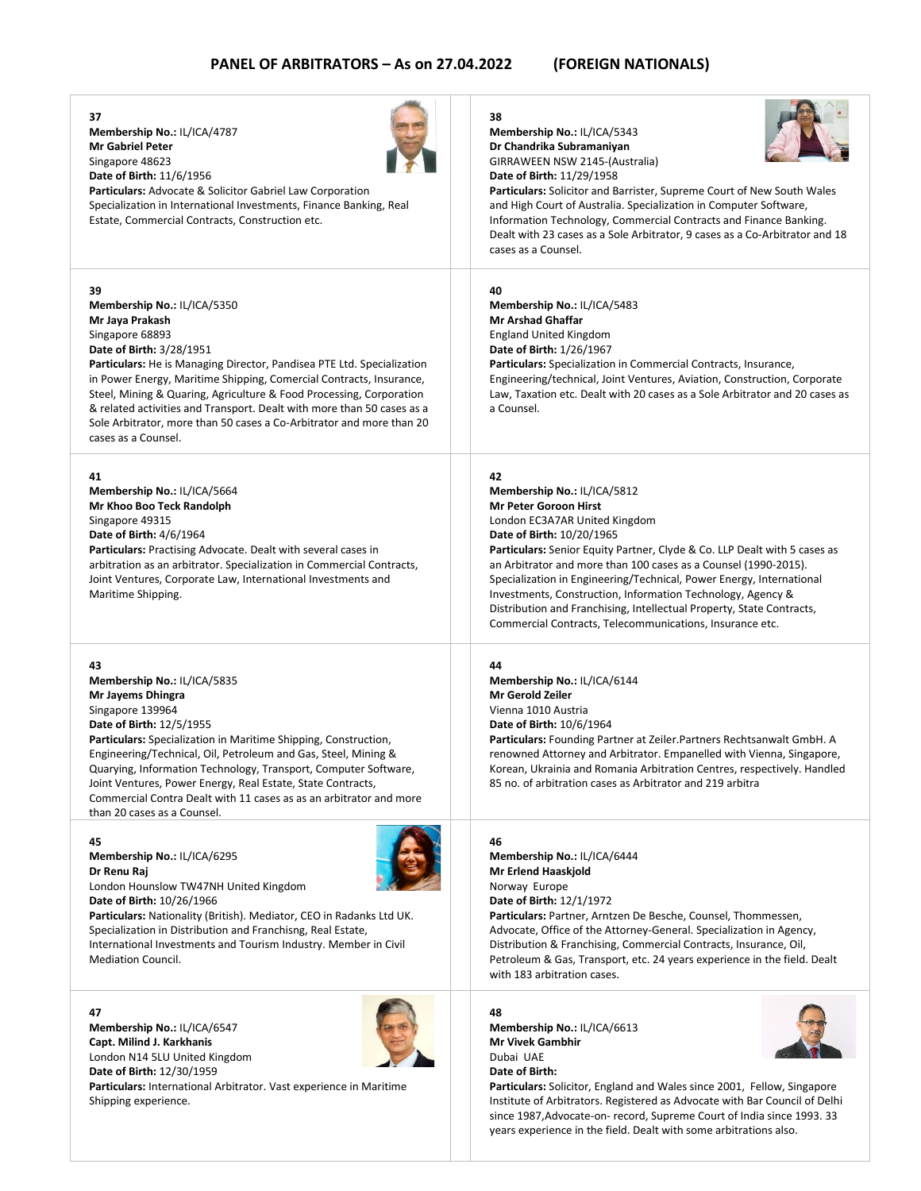**37**

**39**

**41**

**43**

**45**

**47**



**Particulars:** International Arbitrator. Vast experience in Maritime Shipping experience.

### **Particulars:** Solicitor, England and Wales since 2001, Fellow, Singapore Institute of Arbitrators. Registered as Advocate with Bar Council of Delhi since 1987,Advocate-on- record, Supreme Court of India since 1993. 33 years experience in the field. Dealt with some arbitrations also.